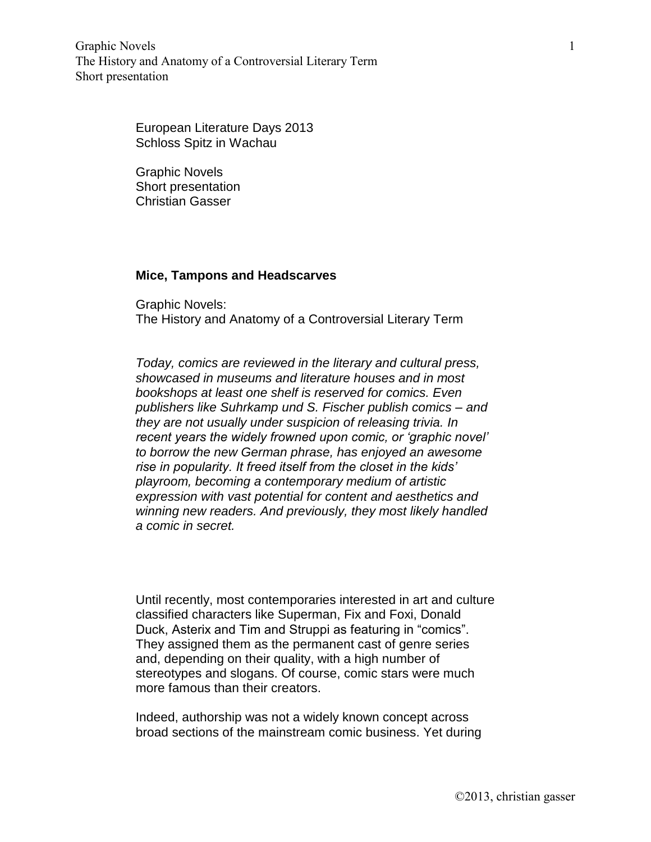Graphic Novels The History and Anatomy of a Controversial Literary Term Short presentation

> European Literature Days 2013 Schloss Spitz in Wachau

Graphic Novels Short presentation Christian Gasser

## **Mice, Tampons and Headscarves**

Graphic Novels: The History and Anatomy of a Controversial Literary Term

*Today, comics are reviewed in the literary and cultural press, showcased in museums and literature houses and in most bookshops at least one shelf is reserved for comics. Even publishers like Suhrkamp und S. Fischer publish comics – and they are not usually under suspicion of releasing trivia. In recent years the widely frowned upon comic, or 'graphic novel' to borrow the new German phrase, has enjoyed an awesome rise in popularity. It freed itself from the closet in the kids' playroom, becoming a contemporary medium of artistic expression with vast potential for content and aesthetics and winning new readers. And previously, they most likely handled a comic in secret.*

Until recently, most contemporaries interested in art and culture classified characters like Superman, Fix and Foxi, Donald Duck, Asterix and Tim and Struppi as featuring in "comics". They assigned them as the permanent cast of genre series and, depending on their quality, with a high number of stereotypes and slogans. Of course, comic stars were much more famous than their creators.

Indeed, authorship was not a widely known concept across broad sections of the mainstream comic business. Yet during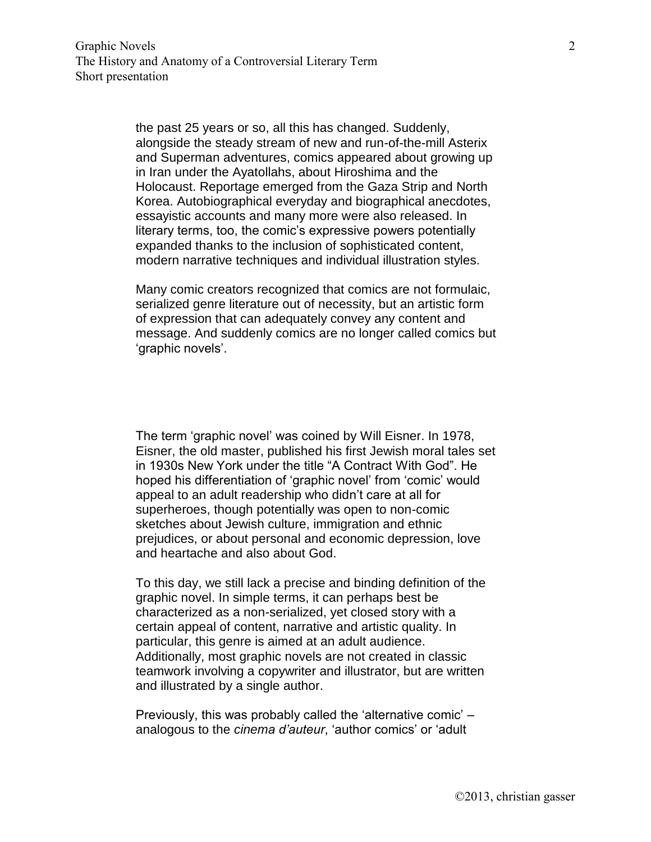the past 25 years or so, all this has changed. Suddenly, alongside the steady stream of new and run-of-the-mill Asterix and Superman adventures, comics appeared about growing up in Iran under the Ayatollahs, about Hiroshima and the Holocaust. Reportage emerged from the Gaza Strip and North Korea. Autobiographical everyday and biographical anecdotes, essayistic accounts and many more were also released. In literary terms, too, the comic's expressive powers potentially expanded thanks to the inclusion of sophisticated content, modern narrative techniques and individual illustration styles.

Many comic creators recognized that comics are not formulaic, serialized genre literature out of necessity, but an artistic form of expression that can adequately convey any content and message. And suddenly comics are no longer called comics but 'graphic novels'.

The term 'graphic novel' was coined by Will Eisner. In 1978, Eisner, the old master, published his first Jewish moral tales set in 1930s New York under the title "A Contract With God". He hoped his differentiation of 'graphic novel' from 'comic' would appeal to an adult readership who didn't care at all for superheroes, though potentially was open to non-comic sketches about Jewish culture, immigration and ethnic prejudices, or about personal and economic depression, love and heartache and also about God.

To this day, we still lack a precise and binding definition of the graphic novel. In simple terms, it can perhaps best be characterized as a non-serialized, yet closed story with a certain appeal of content, narrative and artistic quality. In particular, this genre is aimed at an adult audience. Additionally, most graphic novels are not created in classic teamwork involving a copywriter and illustrator, but are written and illustrated by a single author.

Previously, this was probably called the 'alternative comic' – analogous to the *cinema d'auteur*, 'author comics' or 'adult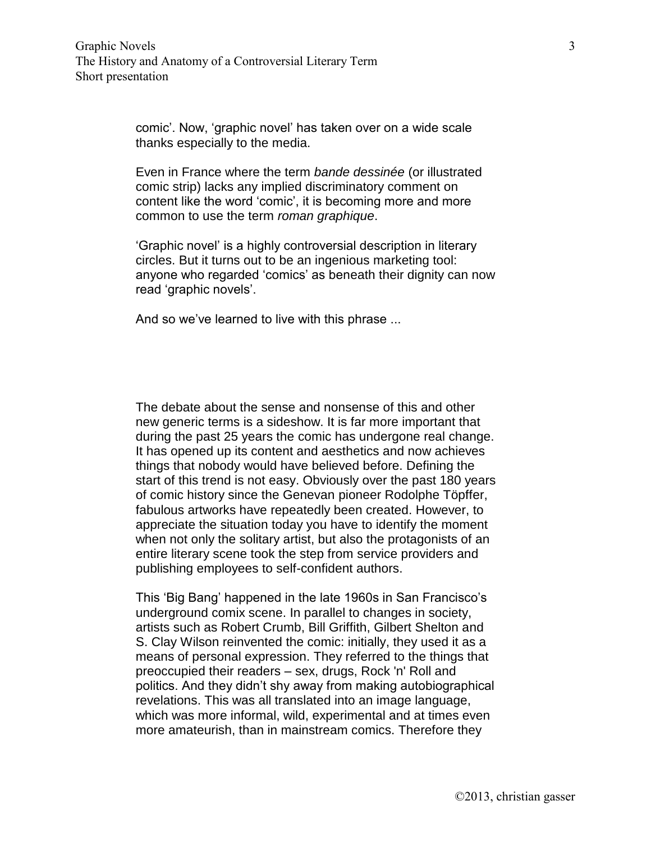comic'. Now, 'graphic novel' has taken over on a wide scale thanks especially to the media.

Even in France where the term *bande dessinée* (or illustrated comic strip) lacks any implied discriminatory comment on content like the word 'comic', it is becoming more and more common to use the term *roman graphique*.

'Graphic novel' is a highly controversial description in literary circles. But it turns out to be an ingenious marketing tool: anyone who regarded 'comics' as beneath their dignity can now read 'graphic novels'.

And so we've learned to live with this phrase ...

The debate about the sense and nonsense of this and other new generic terms is a sideshow. It is far more important that during the past 25 years the comic has undergone real change. It has opened up its content and aesthetics and now achieves things that nobody would have believed before. Defining the start of this trend is not easy. Obviously over the past 180 years of comic history since the Genevan pioneer Rodolphe Töpffer, fabulous artworks have repeatedly been created. However, to appreciate the situation today you have to identify the moment when not only the solitary artist, but also the protagonists of an entire literary scene took the step from service providers and publishing employees to self-confident authors.

This 'Big Bang' happened in the late 1960s in San Francisco's underground comix scene. In parallel to changes in society, artists such as Robert Crumb, Bill Griffith, Gilbert Shelton and S. Clay Wilson reinvented the comic: initially, they used it as a means of personal expression. They referred to the things that preoccupied their readers – sex, drugs, Rock 'n' Roll and politics. And they didn't shy away from making autobiographical revelations. This was all translated into an image language, which was more informal, wild, experimental and at times even more amateurish, than in mainstream comics. Therefore they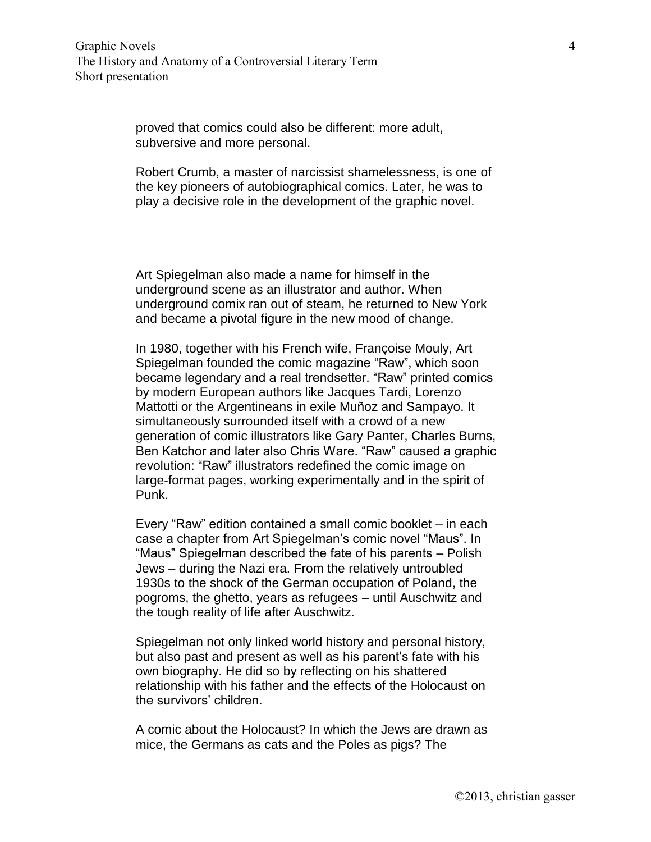proved that comics could also be different: more adult, subversive and more personal.

Robert Crumb, a master of narcissist shamelessness, is one of the key pioneers of autobiographical comics. Later, he was to play a decisive role in the development of the graphic novel.

Art Spiegelman also made a name for himself in the underground scene as an illustrator and author. When underground comix ran out of steam, he returned to New York and became a pivotal figure in the new mood of change.

In 1980, together with his French wife, Françoise Mouly, Art Spiegelman founded the comic magazine "Raw", which soon became legendary and a real trendsetter. "Raw" printed comics by modern European authors like Jacques Tardi, Lorenzo Mattotti or the Argentineans in exile Muñoz and Sampayo. It simultaneously surrounded itself with a crowd of a new generation of comic illustrators like Gary Panter, Charles Burns, Ben Katchor and later also Chris Ware. "Raw" caused a graphic revolution: "Raw" illustrators redefined the comic image on large-format pages, working experimentally and in the spirit of Punk.

Every "Raw" edition contained a small comic booklet – in each case a chapter from Art Spiegelman's comic novel "Maus". In "Maus" Spiegelman described the fate of his parents – Polish Jews – during the Nazi era. From the relatively untroubled 1930s to the shock of the German occupation of Poland, the pogroms, the ghetto, years as refugees – until Auschwitz and the tough reality of life after Auschwitz.

Spiegelman not only linked world history and personal history, but also past and present as well as his parent's fate with his own biography. He did so by reflecting on his shattered relationship with his father and the effects of the Holocaust on the survivors' children.

A comic about the Holocaust? In which the Jews are drawn as mice, the Germans as cats and the Poles as pigs? The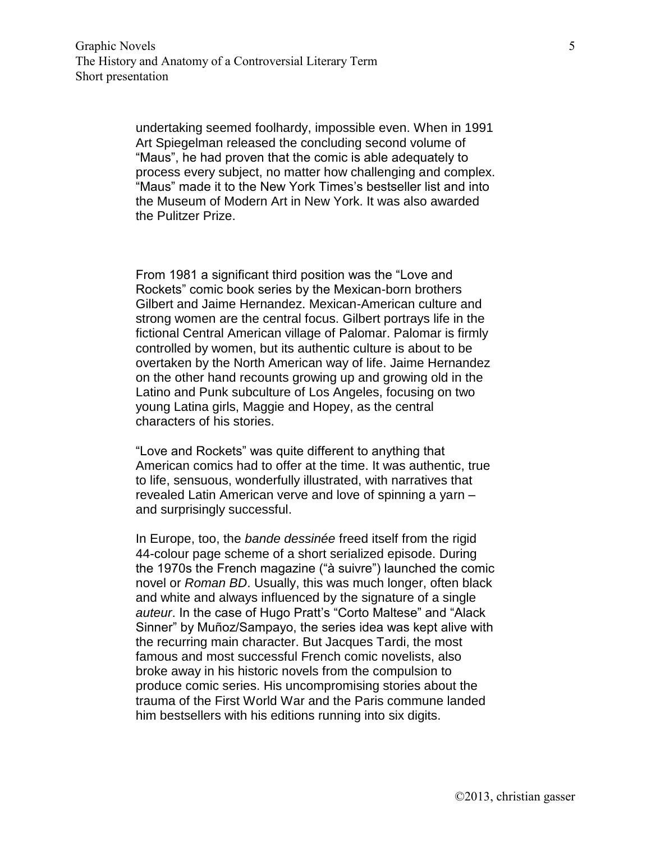undertaking seemed foolhardy, impossible even. When in 1991 Art Spiegelman released the concluding second volume of "Maus", he had proven that the comic is able adequately to process every subject, no matter how challenging and complex. "Maus" made it to the New York Times's bestseller list and into the Museum of Modern Art in New York. It was also awarded the Pulitzer Prize.

From 1981 a significant third position was the "Love and Rockets" comic book series by the Mexican-born brothers Gilbert and Jaime Hernandez. Mexican-American culture and strong women are the central focus. Gilbert portrays life in the fictional Central American village of Palomar. Palomar is firmly controlled by women, but its authentic culture is about to be overtaken by the North American way of life. Jaime Hernandez on the other hand recounts growing up and growing old in the Latino and Punk subculture of Los Angeles, focusing on two young Latina girls, Maggie and Hopey, as the central characters of his stories.

"Love and Rockets" was quite different to anything that American comics had to offer at the time. It was authentic, true to life, sensuous, wonderfully illustrated, with narratives that revealed Latin American verve and love of spinning a yarn – and surprisingly successful.

In Europe, too, the *bande dessinée* freed itself from the rigid 44-colour page scheme of a short serialized episode. During the 1970s the French magazine ("à suivre") launched the comic novel or *Roman BD*. Usually, this was much longer, often black and white and always influenced by the signature of a single *auteur*. In the case of Hugo Pratt's "Corto Maltese" and "Alack Sinner" by Muñoz/Sampayo, the series idea was kept alive with the recurring main character. But Jacques Tardi, the most famous and most successful French comic novelists, also broke away in his historic novels from the compulsion to produce comic series. His uncompromising stories about the trauma of the First World War and the Paris commune landed him bestsellers with his editions running into six digits.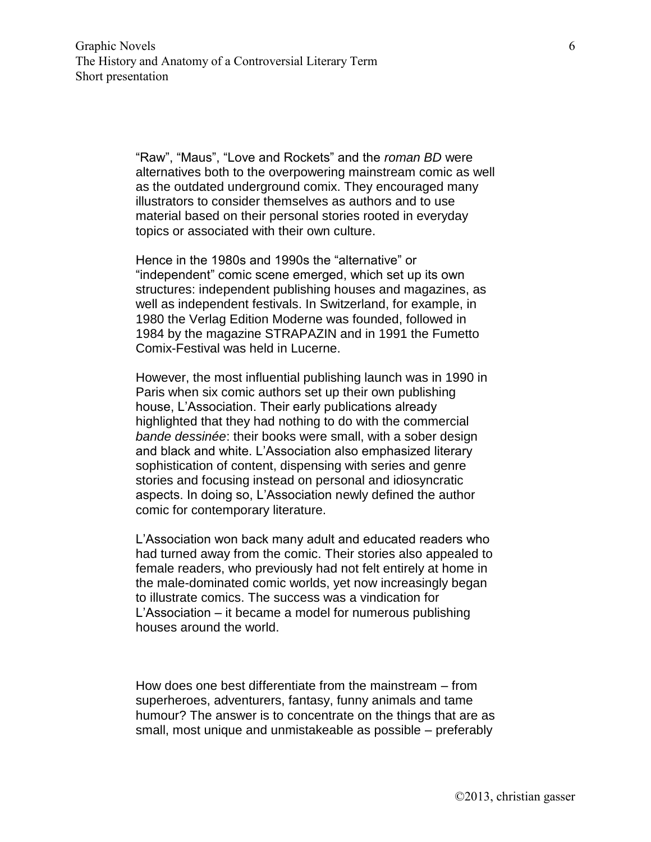"Raw", "Maus", "Love and Rockets" and the *roman BD* were alternatives both to the overpowering mainstream comic as well as the outdated underground comix. They encouraged many illustrators to consider themselves as authors and to use material based on their personal stories rooted in everyday topics or associated with their own culture.

Hence in the 1980s and 1990s the "alternative" or "independent" comic scene emerged, which set up its own structures: independent publishing houses and magazines, as well as independent festivals. In Switzerland, for example, in 1980 the Verlag Edition Moderne was founded, followed in 1984 by the magazine STRAPAZIN and in 1991 the Fumetto Comix-Festival was held in Lucerne.

However, the most influential publishing launch was in 1990 in Paris when six comic authors set up their own publishing house, L'Association. Their early publications already highlighted that they had nothing to do with the commercial *bande dessinée*: their books were small, with a sober design and black and white. L'Association also emphasized literary sophistication of content, dispensing with series and genre stories and focusing instead on personal and idiosyncratic aspects. In doing so, L'Association newly defined the author comic for contemporary literature.

L'Association won back many adult and educated readers who had turned away from the comic. Their stories also appealed to female readers, who previously had not felt entirely at home in the male-dominated comic worlds, yet now increasingly began to illustrate comics. The success was a vindication for L'Association – it became a model for numerous publishing houses around the world.

How does one best differentiate from the mainstream – from superheroes, adventurers, fantasy, funny animals and tame humour? The answer is to concentrate on the things that are as small, most unique and unmistakeable as possible – preferably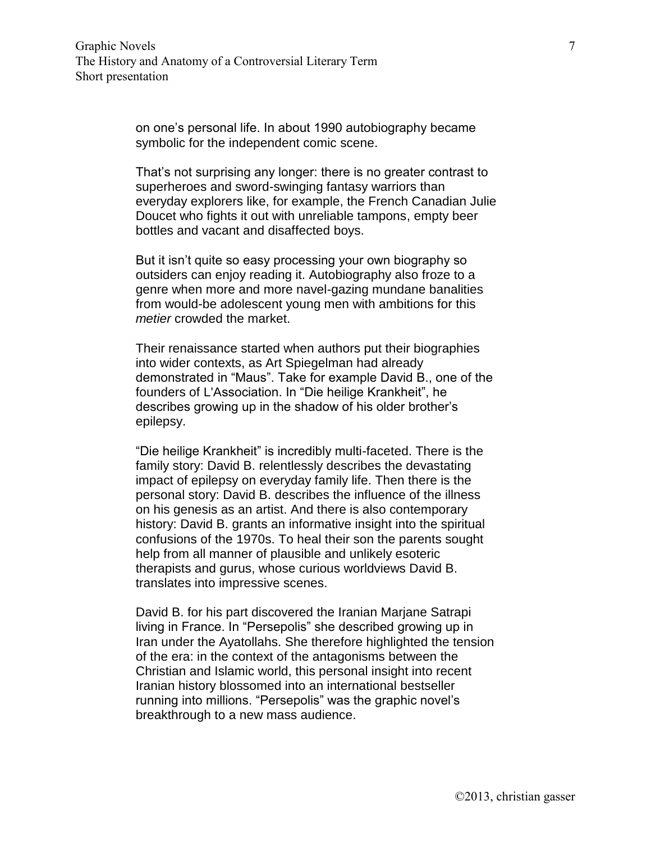on one's personal life. In about 1990 autobiography became symbolic for the independent comic scene.

That's not surprising any longer: there is no greater contrast to superheroes and sword-swinging fantasy warriors than everyday explorers like, for example, the French Canadian Julie Doucet who fights it out with unreliable tampons, empty beer bottles and vacant and disaffected boys.

But it isn't quite so easy processing your own biography so outsiders can enjoy reading it. Autobiography also froze to a genre when more and more navel-gazing mundane banalities from would-be adolescent young men with ambitions for this *metier* crowded the market.

Their renaissance started when authors put their biographies into wider contexts, as Art Spiegelman had already demonstrated in "Maus". Take for example David B., one of the founders of L'Association. In "Die heilige Krankheit", he describes growing up in the shadow of his older brother's epilepsy.

"Die heilige Krankheit" is incredibly multi-faceted. There is the family story: David B. relentlessly describes the devastating impact of epilepsy on everyday family life. Then there is the personal story: David B. describes the influence of the illness on his genesis as an artist. And there is also contemporary history: David B. grants an informative insight into the spiritual confusions of the 1970s. To heal their son the parents sought help from all manner of plausible and unlikely esoteric therapists and gurus, whose curious worldviews David B. translates into impressive scenes.

David B. for his part discovered the Iranian Marjane Satrapi living in France. In "Persepolis" she described growing up in Iran under the Ayatollahs. She therefore highlighted the tension of the era: in the context of the antagonisms between the Christian and Islamic world, this personal insight into recent Iranian history blossomed into an international bestseller running into millions. "Persepolis" was the graphic novel's breakthrough to a new mass audience.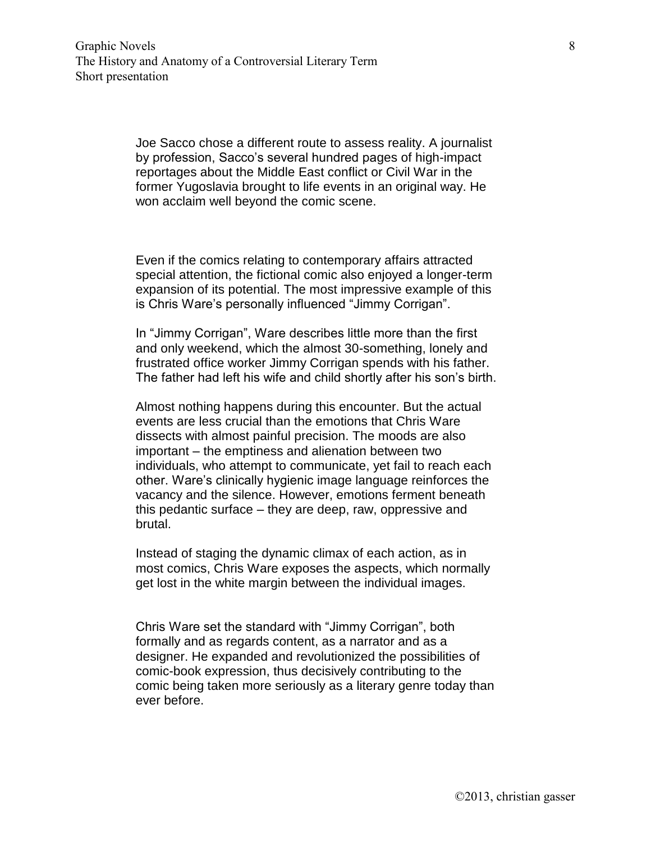Joe Sacco chose a different route to assess reality. A journalist by profession, Sacco's several hundred pages of high-impact reportages about the Middle East conflict or Civil War in the former Yugoslavia brought to life events in an original way. He won acclaim well beyond the comic scene.

Even if the comics relating to contemporary affairs attracted special attention, the fictional comic also enjoyed a longer-term expansion of its potential. The most impressive example of this is Chris Ware's personally influenced "Jimmy Corrigan".

In "Jimmy Corrigan", Ware describes little more than the first and only weekend, which the almost 30-something, lonely and frustrated office worker Jimmy Corrigan spends with his father. The father had left his wife and child shortly after his son's birth.

Almost nothing happens during this encounter. But the actual events are less crucial than the emotions that Chris Ware dissects with almost painful precision. The moods are also important – the emptiness and alienation between two individuals, who attempt to communicate, yet fail to reach each other. Ware's clinically hygienic image language reinforces the vacancy and the silence. However, emotions ferment beneath this pedantic surface – they are deep, raw, oppressive and brutal.

Instead of staging the dynamic climax of each action, as in most comics, Chris Ware exposes the aspects, which normally get lost in the white margin between the individual images.

Chris Ware set the standard with "Jimmy Corrigan", both formally and as regards content, as a narrator and as a designer. He expanded and revolutionized the possibilities of comic-book expression, thus decisively contributing to the comic being taken more seriously as a literary genre today than ever before.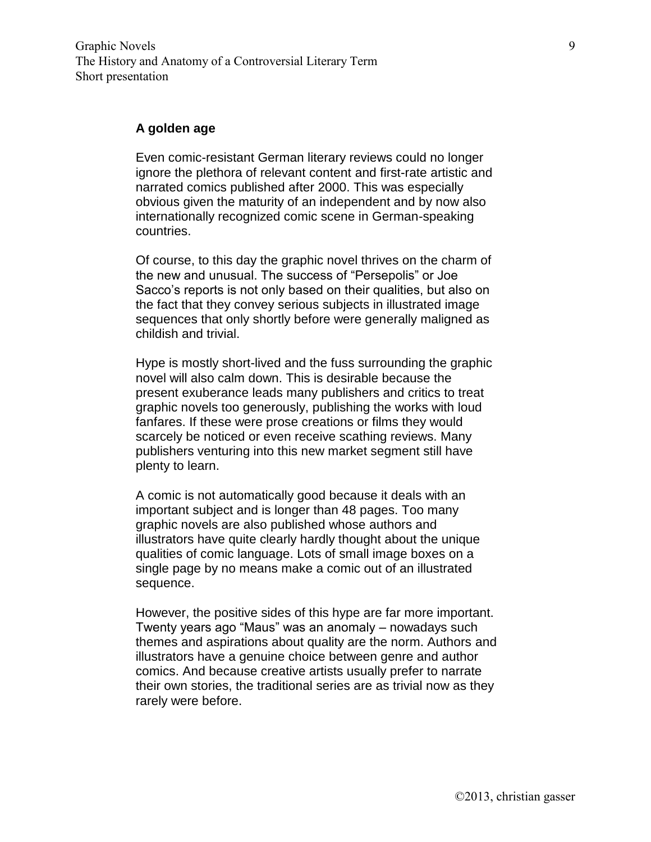Graphic Novels The History and Anatomy of a Controversial Literary Term Short presentation

## **A golden age**

Even comic-resistant German literary reviews could no longer ignore the plethora of relevant content and first-rate artistic and narrated comics published after 2000. This was especially obvious given the maturity of an independent and by now also internationally recognized comic scene in German-speaking countries.

Of course, to this day the graphic novel thrives on the charm of the new and unusual. The success of "Persepolis" or Joe Sacco's reports is not only based on their qualities, but also on the fact that they convey serious subjects in illustrated image sequences that only shortly before were generally maligned as childish and trivial.

Hype is mostly short-lived and the fuss surrounding the graphic novel will also calm down. This is desirable because the present exuberance leads many publishers and critics to treat graphic novels too generously, publishing the works with loud fanfares. If these were prose creations or films they would scarcely be noticed or even receive scathing reviews. Many publishers venturing into this new market segment still have plenty to learn.

A comic is not automatically good because it deals with an important subject and is longer than 48 pages. Too many graphic novels are also published whose authors and illustrators have quite clearly hardly thought about the unique qualities of comic language. Lots of small image boxes on a single page by no means make a comic out of an illustrated sequence.

However, the positive sides of this hype are far more important. Twenty years ago "Maus" was an anomaly – nowadays such themes and aspirations about quality are the norm. Authors and illustrators have a genuine choice between genre and author comics. And because creative artists usually prefer to narrate their own stories, the traditional series are as trivial now as they rarely were before.